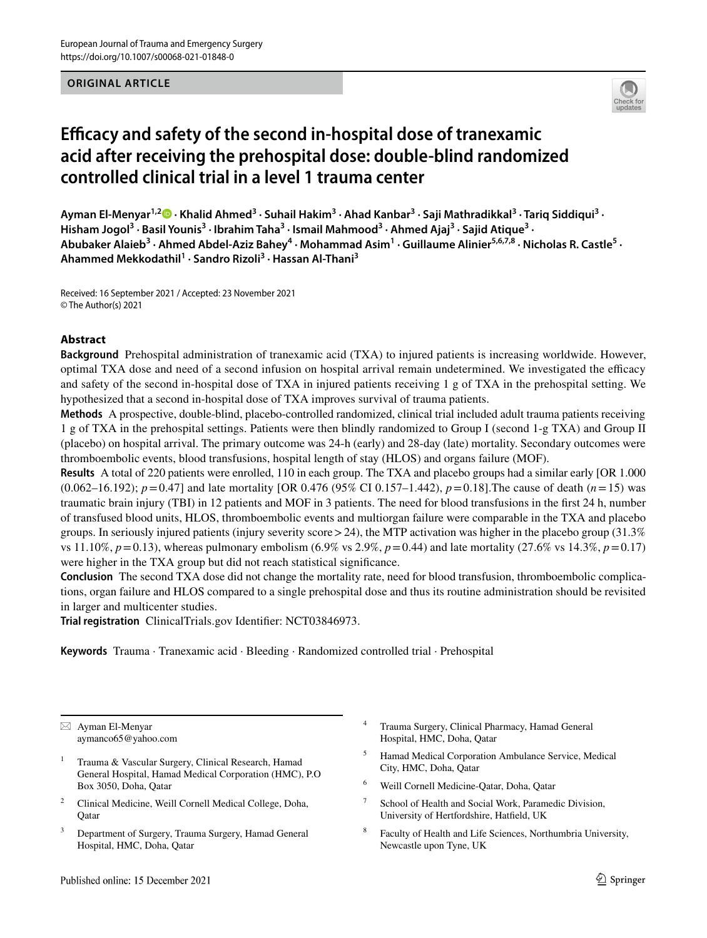#### **ORIGINAL ARTICLE**



# **Efcacy and safety of the second in‑hospital dose of tranexamic acid after receiving the prehospital dose: double‑blind randomized controlled clinical trial in a level 1 trauma center**

Ayman El-Menyar<sup>1,2</sup> D [·](http://orcid.org/0000-0003-2584-953X) Khalid Ahmed<sup>3</sup> · Suhail Hakim<sup>3</sup> · Ahad Kanbar<sup>3</sup> · Saji Mathradikkal<sup>3</sup> · Tariq Siddiqui<sup>3</sup> · Hisham Jogol<sup>3</sup> · Basil Younis<sup>3</sup> · Ibrahim Taha<sup>3</sup> · Ismail Mahmood<sup>3</sup> · Ahmed Ajaj<sup>3</sup> · Sajid Atique<sup>3</sup> · Abubaker Alaieb<sup>3</sup> · Ahmed Abdel-Aziz Bahey<sup>4</sup> · Mohammad Asim<sup>1</sup> · Guillaume Alinier<sup>5,6,7,8</sup> · Nicholas R. Castle<sup>5</sup> · **Ahammed Mekkodathil1 · Sandro Rizoli3 · Hassan Al‑Thani3**

Received: 16 September 2021 / Accepted: 23 November 2021 © The Author(s) 2021

#### **Abstract**

**Background** Prehospital administration of tranexamic acid (TXA) to injured patients is increasing worldwide. However, optimal TXA dose and need of a second infusion on hospital arrival remain undetermined. We investigated the efficacy and safety of the second in-hospital dose of TXA in injured patients receiving 1 g of TXA in the prehospital setting. We hypothesized that a second in-hospital dose of TXA improves survival of trauma patients.

**Methods** A prospective, double-blind, placebo-controlled randomized, clinical trial included adult trauma patients receiving 1 g of TXA in the prehospital settings. Patients were then blindly randomized to Group I (second 1-g TXA) and Group II (placebo) on hospital arrival. The primary outcome was 24-h (early) and 28-day (late) mortality. Secondary outcomes were thromboembolic events, blood transfusions, hospital length of stay (HLOS) and organs failure (MOF).

**Results** A total of 220 patients were enrolled, 110 in each group. The TXA and placebo groups had a similar early [OR 1.000 (0.062–16.192); *p*=0.47] and late mortality [OR 0.476 (95% CI 0.157–1.442), *p*=0.18].The cause of death (*n*=15) was traumatic brain injury (TBI) in 12 patients and MOF in 3 patients. The need for blood transfusions in the frst 24 h, number of transfused blood units, HLOS, thromboembolic events and multiorgan failure were comparable in the TXA and placebo groups. In seriously injured patients (injury severity score  $>24$ ), the MTP activation was higher in the placebo group (31.3%) vs 11.10%, *p*=0.13), whereas pulmonary embolism (6.9% vs 2.9%, *p*=0.44) and late mortality (27.6% vs 14.3%, *p*=0.17) were higher in the TXA group but did not reach statistical signifcance.

**Conclusion** The second TXA dose did not change the mortality rate, need for blood transfusion, thromboembolic complications, organ failure and HLOS compared to a single prehospital dose and thus its routine administration should be revisited in larger and multicenter studies.

**Trial registration** ClinicalTrials.gov Identifer: NCT03846973.

**Keywords** Trauma · Tranexamic acid · Bleeding · Randomized controlled trial · Prehospital

 $\boxtimes$  Ayman El-Menyar aymanco65@yahoo.com

- Trauma & Vascular Surgery, Clinical Research, Hamad General Hospital, Hamad Medical Corporation (HMC), P.O Box 3050, Doha, Qatar
- <sup>2</sup> Clinical Medicine, Weill Cornell Medical College, Doha, **O**atar
- <sup>3</sup> Department of Surgery, Trauma Surgery, Hamad General Hospital, HMC, Doha, Qatar
- Trauma Surgery, Clinical Pharmacy, Hamad General Hospital, HMC, Doha, Qatar
- <sup>5</sup> Hamad Medical Corporation Ambulance Service, Medical City, HMC, Doha, Qatar
- <sup>6</sup> Weill Cornell Medicine-Qatar, Doha, Qatar
- <sup>7</sup> School of Health and Social Work, Paramedic Division, University of Hertfordshire, Hatfeld, UK
- <sup>8</sup> Faculty of Health and Life Sciences, Northumbria University, Newcastle upon Tyne, UK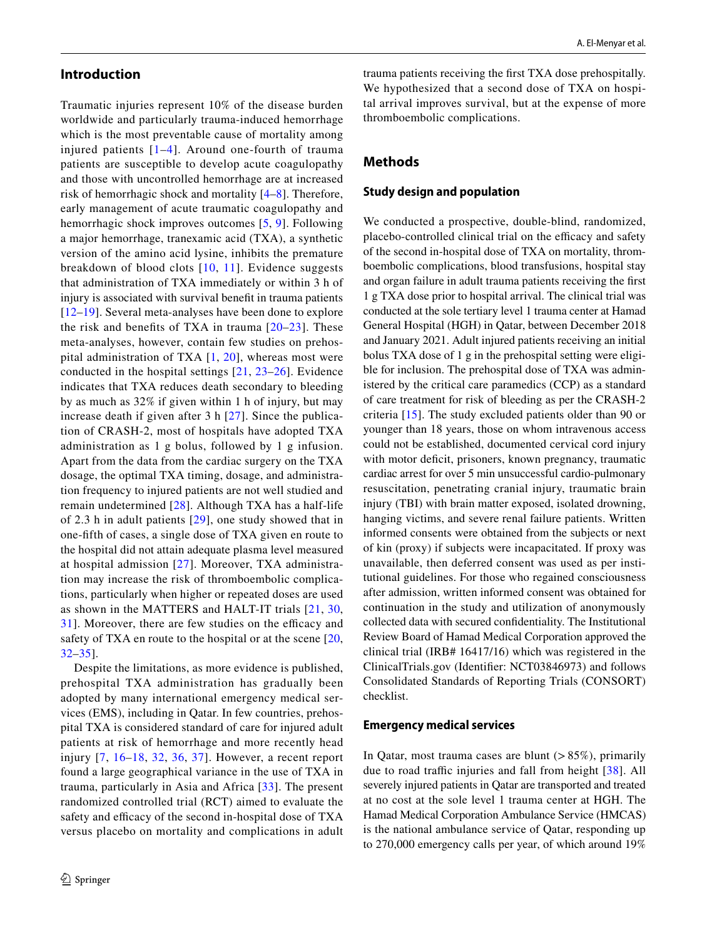# **Introduction**

Traumatic injuries represent 10% of the disease burden worldwide and particularly trauma-induced hemorrhage which is the most preventable cause of mortality among injured patients  $[1-4]$  $[1-4]$  $[1-4]$  $[1-4]$  $[1-4]$ . Around one-fourth of trauma patients are susceptible to develop acute coagulopathy and those with uncontrolled hemorrhage are at increased risk of hemorrhagic shock and mortality [\[4–](#page-8-1)[8\]](#page-8-2). Therefore, early management of acute traumatic coagulopathy and hemorrhagic shock improves outcomes [[5,](#page-8-3) [9\]](#page-9-0). Following a major hemorrhage, tranexamic acid (TXA), a synthetic version of the amino acid lysine, inhibits the premature breakdown of blood clots [[10,](#page-9-1) [11\]](#page-9-2). Evidence suggests that administration of TXA immediately or within 3 h of injury is associated with survival beneft in trauma patients [[12–](#page-9-3)[19](#page-9-4)]. Several meta-analyses have been done to explore the risk and benefts of TXA in trauma [[20](#page-9-5)–[23](#page-9-6)]. These meta-analyses, however, contain few studies on prehospital administration of TXA [\[1,](#page-8-0) [20\]](#page-9-5), whereas most were conducted in the hospital settings [[21,](#page-9-7) [23–](#page-9-6)[26](#page-9-8)]. Evidence indicates that TXA reduces death secondary to bleeding by as much as 32% if given within 1 h of injury, but may increase death if given after  $3 h [27]$  $3 h [27]$  $3 h [27]$ . Since the publication of CRASH-2, most of hospitals have adopted TXA administration as 1 g bolus, followed by 1 g infusion. Apart from the data from the cardiac surgery on the TXA dosage, the optimal TXA timing, dosage, and administration frequency to injured patients are not well studied and remain undetermined [\[28\]](#page-9-10). Although TXA has a half-life of 2.3 h in adult patients  $[29]$  $[29]$ , one study showed that in one-ffth of cases, a single dose of TXA given en route to the hospital did not attain adequate plasma level measured at hospital admission [[27\]](#page-9-9). Moreover, TXA administration may increase the risk of thromboembolic complications, particularly when higher or repeated doses are used as shown in the MATTERS and HALT-IT trials [[21](#page-9-7), [30,](#page-9-12) [31\]](#page-9-13). Moreover, there are few studies on the efficacy and safety of TXA en route to the hospital or at the scene [\[20,](#page-9-5) [32](#page-9-14)–[35\]](#page-9-15).

Despite the limitations, as more evidence is published, prehospital TXA administration has gradually been adopted by many international emergency medical services (EMS), including in Qatar. In few countries, prehospital TXA is considered standard of care for injured adult patients at risk of hemorrhage and more recently head injury [[7](#page-8-4), [16](#page-9-16)[–18,](#page-9-17) [32,](#page-9-14) [36](#page-9-18), [37](#page-9-19)]. However, a recent report found a large geographical variance in the use of TXA in trauma, particularly in Asia and Africa [[33](#page-9-20)]. The present randomized controlled trial (RCT) aimed to evaluate the safety and efficacy of the second in-hospital dose of TXA versus placebo on mortality and complications in adult

trauma patients receiving the frst TXA dose prehospitally. We hypothesized that a second dose of TXA on hospital arrival improves survival, but at the expense of more thromboembolic complications.

# **Methods**

#### **Study design and population**

We conducted a prospective, double-blind, randomized, placebo-controlled clinical trial on the efficacy and safety of the second in-hospital dose of TXA on mortality, thromboembolic complications, blood transfusions, hospital stay and organ failure in adult trauma patients receiving the frst 1 g TXA dose prior to hospital arrival. The clinical trial was conducted at the sole tertiary level 1 trauma center at Hamad General Hospital (HGH) in Qatar, between December 2018 and January 2021. Adult injured patients receiving an initial bolus TXA dose of 1 g in the prehospital setting were eligible for inclusion. The prehospital dose of TXA was administered by the critical care paramedics (CCP) as a standard of care treatment for risk of bleeding as per the CRASH-2 criteria [[15](#page-9-21)]. The study excluded patients older than 90 or younger than 18 years, those on whom intravenous access could not be established, documented cervical cord injury with motor deficit, prisoners, known pregnancy, traumatic cardiac arrest for over 5 min unsuccessful cardio-pulmonary resuscitation, penetrating cranial injury, traumatic brain injury (TBI) with brain matter exposed, isolated drowning, hanging victims, and severe renal failure patients. Written informed consents were obtained from the subjects or next of kin (proxy) if subjects were incapacitated. If proxy was unavailable, then deferred consent was used as per institutional guidelines. For those who regained consciousness after admission, written informed consent was obtained for continuation in the study and utilization of anonymously collected data with secured confdentiality. The Institutional Review Board of Hamad Medical Corporation approved the clinical trial (IRB# 16417/16) which was registered in the ClinicalTrials.gov (Identifer: NCT03846973) and follows Consolidated Standards of Reporting Trials (CONSORT) checklist.

#### **Emergency medical services**

In Qatar, most trauma cases are blunt  $(>85\%)$ , primarily due to road traffic injuries and fall from height  $[38]$ . All severely injured patients in Qatar are transported and treated at no cost at the sole level 1 trauma center at HGH. The Hamad Medical Corporation Ambulance Service (HMCAS) is the national ambulance service of Qatar, responding up to 270,000 emergency calls per year, of which around 19%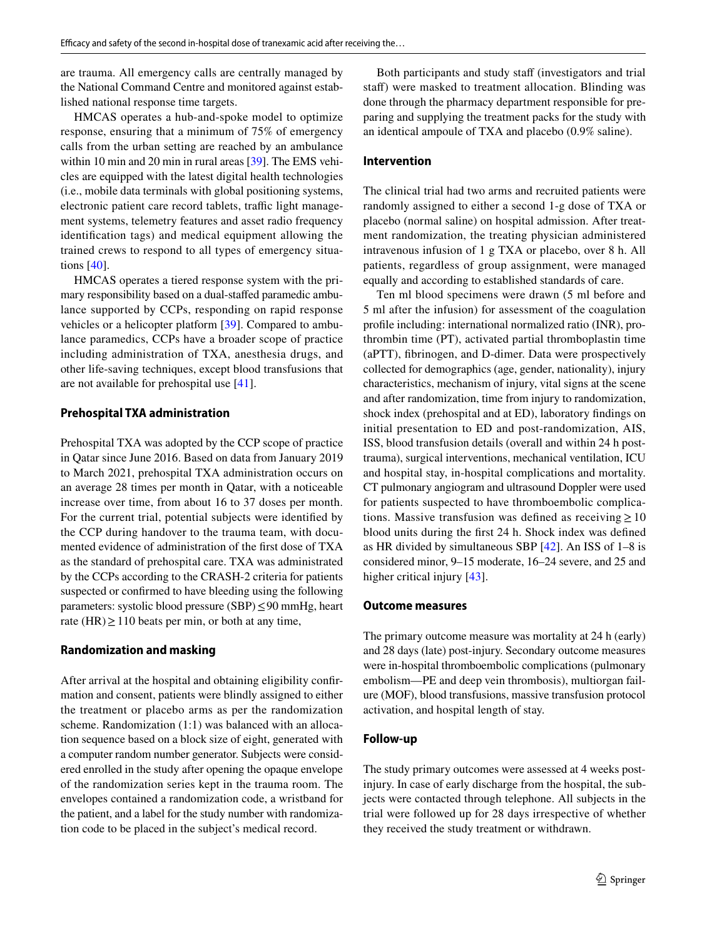are trauma. All emergency calls are centrally managed by the National Command Centre and monitored against established national response time targets.

HMCAS operates a hub-and-spoke model to optimize response, ensuring that a minimum of 75% of emergency calls from the urban setting are reached by an ambulance within 10 min and 20 min in rural areas [\[39](#page-9-23)]. The EMS vehicles are equipped with the latest digital health technologies (i.e., mobile data terminals with global positioning systems, electronic patient care record tablets, traffic light management systems, telemetry features and asset radio frequency identifcation tags) and medical equipment allowing the trained crews to respond to all types of emergency situations [[40\]](#page-9-24).

HMCAS operates a tiered response system with the primary responsibility based on a dual-stafed paramedic ambulance supported by CCPs, responding on rapid response vehicles or a helicopter platform [\[39](#page-9-23)]. Compared to ambulance paramedics, CCPs have a broader scope of practice including administration of TXA, anesthesia drugs, and other life-saving techniques, except blood transfusions that are not available for prehospital use [\[41](#page-9-25)].

# **Prehospital TXA administration**

Prehospital TXA was adopted by the CCP scope of practice in Qatar since June 2016. Based on data from January 2019 to March 2021, prehospital TXA administration occurs on an average 28 times per month in Qatar, with a noticeable increase over time, from about 16 to 37 doses per month. For the current trial, potential subjects were identifed by the CCP during handover to the trauma team, with documented evidence of administration of the frst dose of TXA as the standard of prehospital care. TXA was administrated by the CCPs according to the CRASH-2 criteria for patients suspected or confrmed to have bleeding using the following parameters: systolic blood pressure (SBP)≤90 mmHg, heart rate (HR)  $\geq$  110 beats per min, or both at any time,

# **Randomization and masking**

After arrival at the hospital and obtaining eligibility confrmation and consent, patients were blindly assigned to either the treatment or placebo arms as per the randomization scheme. Randomization (1:1) was balanced with an allocation sequence based on a block size of eight, generated with a computer random number generator. Subjects were considered enrolled in the study after opening the opaque envelope of the randomization series kept in the trauma room. The envelopes contained a randomization code, a wristband for the patient, and a label for the study number with randomization code to be placed in the subject's medical record.

Both participants and study staff (investigators and trial staff) were masked to treatment allocation. Blinding was done through the pharmacy department responsible for preparing and supplying the treatment packs for the study with an identical ampoule of TXA and placebo (0.9% saline).

### **Intervention**

The clinical trial had two arms and recruited patients were randomly assigned to either a second 1-g dose of TXA or placebo (normal saline) on hospital admission. After treatment randomization, the treating physician administered intravenous infusion of 1 g TXA or placebo, over 8 h. All patients, regardless of group assignment, were managed equally and according to established standards of care.

Ten ml blood specimens were drawn (5 ml before and 5 ml after the infusion) for assessment of the coagulation profle including: international normalized ratio (INR), prothrombin time (PT), activated partial thromboplastin time (aPTT), fbrinogen, and D-dimer. Data were prospectively collected for demographics (age, gender, nationality), injury characteristics, mechanism of injury, vital signs at the scene and after randomization, time from injury to randomization, shock index (prehospital and at ED), laboratory fndings on initial presentation to ED and post-randomization, AIS, ISS, blood transfusion details (overall and within 24 h posttrauma), surgical interventions, mechanical ventilation, ICU and hospital stay, in-hospital complications and mortality. CT pulmonary angiogram and ultrasound Doppler were used for patients suspected to have thromboembolic complications. Massive transfusion was defined as receiving  $\geq 10$ blood units during the frst 24 h. Shock index was defned as HR divided by simultaneous SBP [[42\]](#page-9-26). An ISS of 1–8 is considered minor, 9–15 moderate, 16–24 severe, and 25 and higher critical injury [\[43\]](#page-9-27).

# **Outcome measures**

The primary outcome measure was mortality at 24 h (early) and 28 days (late) post-injury. Secondary outcome measures were in-hospital thromboembolic complications (pulmonary embolism—PE and deep vein thrombosis), multiorgan failure (MOF), blood transfusions, massive transfusion protocol activation, and hospital length of stay.

# **Follow‑up**

The study primary outcomes were assessed at 4 weeks postinjury. In case of early discharge from the hospital, the subjects were contacted through telephone. All subjects in the trial were followed up for 28 days irrespective of whether they received the study treatment or withdrawn.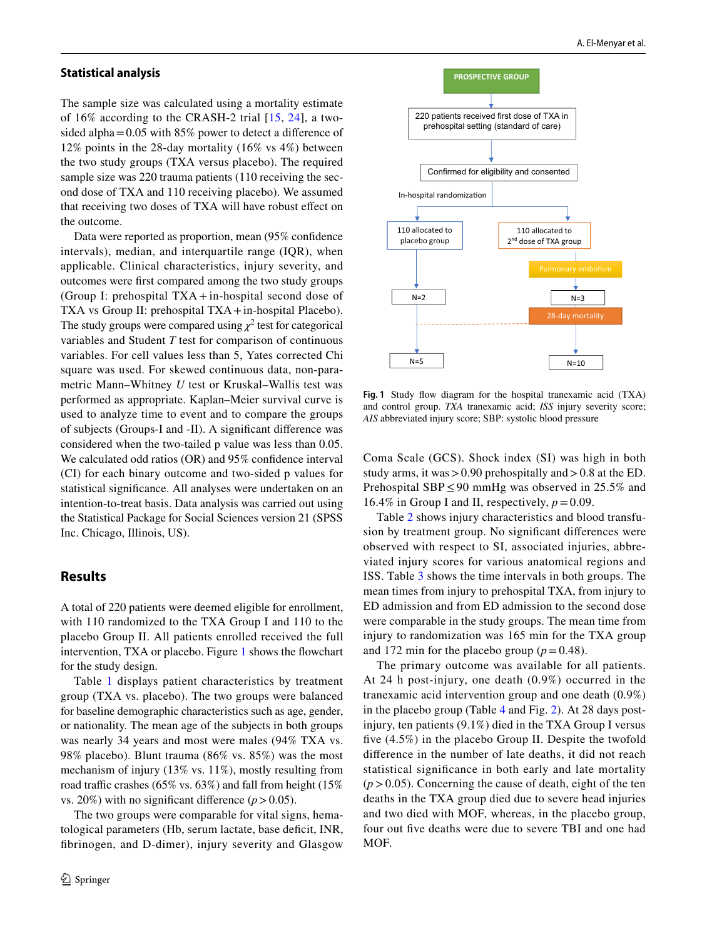#### **Statistical analysis**

The sample size was calculated using a mortality estimate of 16% according to the CRASH-2 trial [\[15,](#page-9-21) [24](#page-9-28)], a twosided alpha=0.05 with 85% power to detect a diference of 12% points in the 28-day mortality (16% vs 4%) between the two study groups (TXA versus placebo). The required sample size was 220 trauma patients (110 receiving the second dose of TXA and 110 receiving placebo). We assumed that receiving two doses of TXA will have robust efect on the outcome.

Data were reported as proportion, mean (95% confdence intervals), median, and interquartile range (IQR), when applicable. Clinical characteristics, injury severity, and outcomes were frst compared among the two study groups (Group I: prehospital  $TXA + in-hospital$  second dose of TXA vs Group II: prehospital TXA + in-hospital Placebo). The study groups were compared using  $\chi^2$  test for categorical variables and Student *T* test for comparison of continuous variables. For cell values less than 5, Yates corrected Chi square was used. For skewed continuous data, non-parametric Mann–Whitney *U* test or Kruskal–Wallis test was performed as appropriate. Kaplan–Meier survival curve is used to analyze time to event and to compare the groups of subjects (Groups-I and -II). A signifcant diference was considered when the two-tailed p value was less than 0.05. We calculated odd ratios (OR) and 95% confidence interval (CI) for each binary outcome and two-sided p values for statistical signifcance. All analyses were undertaken on an intention-to-treat basis. Data analysis was carried out using the Statistical Package for Social Sciences version 21 (SPSS Inc. Chicago, Illinois, US).

# **Results**

A total of 220 patients were deemed eligible for enrollment, with 110 randomized to the TXA Group I and 110 to the placebo Group II. All patients enrolled received the full intervention, TXA or placebo. Figure [1](#page-3-0) shows the fowchart for the study design.

Table [1](#page-4-0) displays patient characteristics by treatment group (TXA vs. placebo). The two groups were balanced for baseline demographic characteristics such as age, gender, or nationality. The mean age of the subjects in both groups was nearly 34 years and most were males (94% TXA vs. 98% placebo). Blunt trauma (86% vs. 85%) was the most mechanism of injury (13% vs. 11%), mostly resulting from road traffic crashes ( $65\%$  vs.  $63\%$ ) and fall from height ( $15\%$ ) vs. 20%) with no significant difference  $(p > 0.05)$ .

The two groups were comparable for vital signs, hematological parameters (Hb, serum lactate, base deficit, INR, fbrinogen, and D-dimer), injury severity and Glasgow



<span id="page-3-0"></span>**Fig. 1** Study flow diagram for the hospital tranexamic acid (TXA) and control group. *TXA* tranexamic acid; *ISS* injury severity score; *AIS* abbreviated injury score; SBP: systolic blood pressure

Coma Scale (GCS). Shock index (SI) was high in both study arms, it was  $> 0.90$  prehospitally and  $> 0.8$  at the ED. Prehospital SBP≤90 mmHg was observed in 25.5% and 16.4% in Group I and II, respectively,  $p = 0.09$ .

Table [2](#page-5-0) shows injury characteristics and blood transfusion by treatment group. No signifcant diferences were observed with respect to SI, associated injuries, abbreviated injury scores for various anatomical regions and ISS. Table [3](#page-5-1) shows the time intervals in both groups. The mean times from injury to prehospital TXA, from injury to ED admission and from ED admission to the second dose were comparable in the study groups. The mean time from injury to randomization was 165 min for the TXA group and 172 min for the placebo group ( $p = 0.48$ ).

The primary outcome was available for all patients. At 24 h post-injury, one death (0.9%) occurred in the tranexamic acid intervention group and one death (0.9%) in the placebo group (Table [4](#page-6-0) and Fig. [2\)](#page-6-1). At 28 days postinjury, ten patients (9.1%) died in the TXA Group I versus five  $(4.5\%)$  in the placebo Group II. Despite the twofold diference in the number of late deaths, it did not reach statistical signifcance in both early and late mortality  $(p > 0.05)$ . Concerning the cause of death, eight of the ten deaths in the TXA group died due to severe head injuries and two died with MOF, whereas, in the placebo group, four out five deaths were due to severe TBI and one had MOF.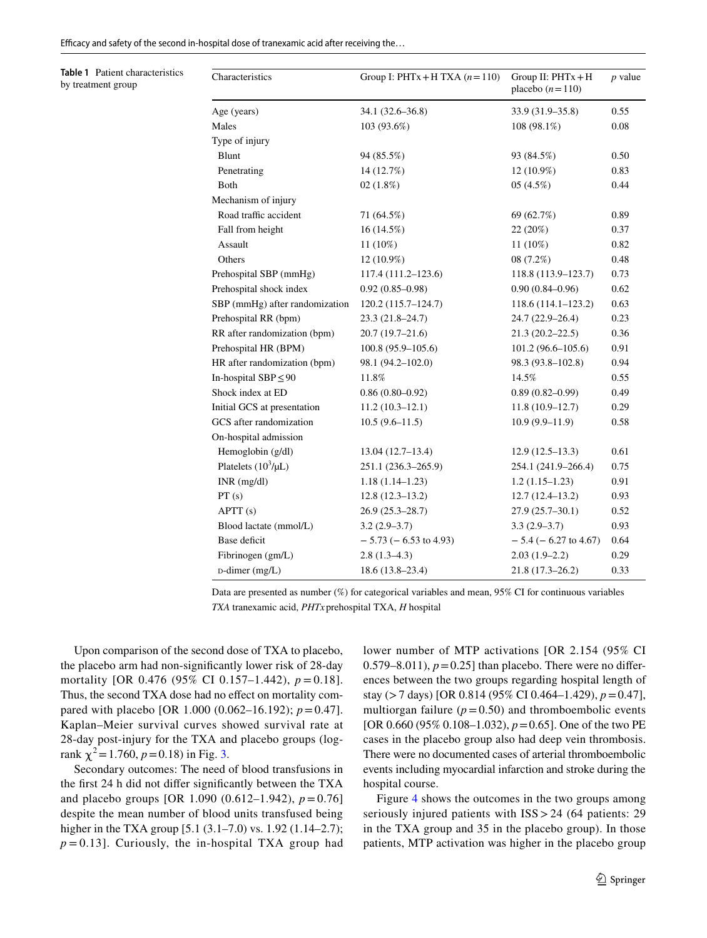<span id="page-4-0"></span>**Table 1** Patient characteristics by treatment group

| Characteristics                | Group I: PHTx + H TXA $(n=110)$ | Group II: $PHTx + H$<br>placebo $(n=110)$ | $p$ value |
|--------------------------------|---------------------------------|-------------------------------------------|-----------|
| Age (years)                    | 34.1 (32.6–36.8)                | 33.9 (31.9–35.8)                          | 0.55      |
| Males                          | 103 (93.6%)                     | 108 (98.1%)                               | 0.08      |
| Type of injury                 |                                 |                                           |           |
| Blunt                          | 94 (85.5%)                      | 93 (84.5%)                                | 0.50      |
| Penetrating                    | 14 (12.7%)                      | 12 (10.9%)                                | 0.83      |
| Both                           | $02(1.8\%)$                     | 05(4.5%)                                  | 0.44      |
| Mechanism of injury            |                                 |                                           |           |
| Road traffic accident          | 71 (64.5%)                      | 69 (62.7%)                                | 0.89      |
| Fall from height               | $16(14.5\%)$                    | 22 (20%)                                  | 0.37      |
| Assault                        | 11 (10%)                        | 11 (10%)                                  | 0.82      |
| Others                         | 12 (10.9%)                      | 08 (7.2%)                                 | 0.48      |
| Prehospital SBP (mmHg)         | $117.4(111.2-123.6)$            | 118.8 (113.9-123.7)                       | 0.73      |
| Prehospital shock index        | $0.92(0.85 - 0.98)$             | $0.90(0.84 - 0.96)$                       | 0.62      |
| SBP (mmHg) after randomization | $120.2(115.7 - 124.7)$          | $118.6(114.1-123.2)$                      | 0.63      |
| Prehospital RR (bpm)           | 23.3 (21.8-24.7)                | 24.7 (22.9-26.4)                          | 0.23      |
| RR after randomization (bpm)   | $20.7(19.7-21.6)$               | $21.3(20.2 - 22.5)$                       | 0.36      |
| Prehospital HR (BPM)           | $100.8(95.9-105.6)$             | 101.2 (96.6-105.6)                        | 0.91      |
| HR after randomization (bpm)   | 98.1 (94.2-102.0)               | 98.3 (93.8-102.8)                         | 0.94      |
| In-hospital SBP ≤90            | 11.8%                           | 14.5%                                     | 0.55      |
| Shock index at ED              | $0.86(0.80 - 0.92)$             | $0.89(0.82 - 0.99)$                       | 0.49      |
| Initial GCS at presentation    | $11.2(10.3-12.1)$               | $11.8(10.9-12.7)$                         | 0.29      |
| GCS after randomization        | $10.5(9.6 - 11.5)$              | $10.9(9.9 - 11.9)$                        | 0.58      |
| On-hospital admission          |                                 |                                           |           |
| Hemoglobin (g/dl)              | $13.04(12.7-13.4)$              | $12.9(12.5-13.3)$                         | 0.61      |
| Platelets $(10^3/\mu L)$       | 251.1 (236.3–265.9)             | 254.1 (241.9-266.4)                       | 0.75      |
| $INR$ (mg/dl)                  | $1.18(1.14 - 1.23)$             | $1.2(1.15-1.23)$                          | 0.91      |
| PT(s)                          | $12.8(12.3-13.2)$               | $12.7(12.4-13.2)$                         | 0.93      |
| APT(s)                         | $26.9(25.3 - 28.7)$             | $27.9(25.7-30.1)$                         | 0.52      |
| Blood lactate (mmol/L)         | $3.2(2.9 - 3.7)$                | $3.3(2.9-3.7)$                            | 0.93      |
| Base deficit                   | $-5.73$ ( $-6.53$ to 4.93)      | $-5.4$ ( $-6.27$ to 4.67)                 | 0.64      |
| Fibrinogen (gm/L)              | $2.8(1.3-4.3)$                  | $2.03(1.9-2.2)$                           | 0.29      |
| $p$ -dimer (mg/L)              | $18.6(13.8-23.4)$               | $21.8(17.3 - 26.2)$                       | 0.33      |

Data are presented as number (%) for categorical variables and mean, 95% CI for continuous variables *TXA* tranexamic acid, *PHTx* prehospital TXA, *H* hospital

Upon comparison of the second dose of TXA to placebo, the placebo arm had non-signifcantly lower risk of 28-day mortality [OR 0.476 (95% CI 0.157–1.442), *p* = 0.18]. Thus, the second TXA dose had no effect on mortality compared with placebo [OR  $1.000$  (0.062–16.192);  $p = 0.47$ ]. Kaplan–Meier survival curves showed survival rate at 28-day post-injury for the TXA and placebo groups (logrank  $\chi^2$  = 1.760, *p* = 0.18) in Fig. [3.](#page-7-0)

Secondary outcomes: The need of blood transfusions in the frst 24 h did not difer signifcantly between the TXA and placebo groups [OR 1.090 (0.612–1.942), *p*=0.76] despite the mean number of blood units transfused being higher in the TXA group [5.1 (3.1–7.0) vs. 1.92 (1.14–2.7);  $p = 0.13$ ]. Curiously, the in-hospital TXA group had lower number of MTP activations [OR 2.154 (95% CI 0.579–8.011),  $p = 0.25$ ] than placebo. There were no differences between the two groups regarding hospital length of stay (>7 days) [OR 0.814 (95% CI 0.464–1.429), *p*=0.47], multiorgan failure  $(p=0.50)$  and thromboembolic events [OR 0.660 (95% 0.108–1.032),  $p = 0.65$ ]. One of the two PE cases in the placebo group also had deep vein thrombosis. There were no documented cases of arterial thromboembolic events including myocardial infarction and stroke during the hospital course.

Figure [4](#page-7-1) shows the outcomes in the two groups among seriously injured patients with ISS > 24 (64 patients: 29 in the TXA group and 35 in the placebo group). In those patients, MTP activation was higher in the placebo group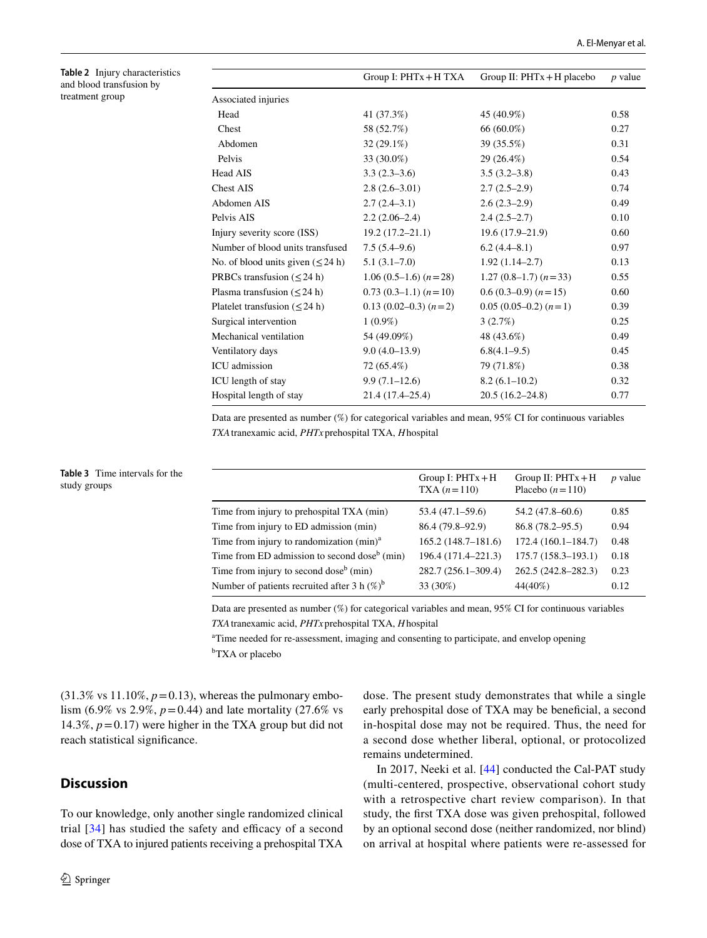<span id="page-5-0"></span>**Table 2** Injury characteristics and blood transfusion by treatment group

|                                        | Group I: PHTx + H TXA | Group II: $PHTx + H$ placebo | $p$ value |
|----------------------------------------|-----------------------|------------------------------|-----------|
| Associated injuries                    |                       |                              |           |
| Head                                   | 41 (37.3%)            | 45 (40.9%)                   | 0.58      |
| Chest                                  | 58 (52.7%)            | 66 (60.0%)                   | 0.27      |
| Abdomen                                | $32(29.1\%)$          | 39 (35.5%)                   | 0.31      |
| Pelvis                                 | 33 (30.0%)            | 29 (26.4%)                   | 0.54      |
| Head AIS                               | $3.3(2.3-3.6)$        | $3.5(3.2 - 3.8)$             | 0.43      |
| Chest AIS                              | $2.8(2.6-3.01)$       | $2.7(2.5-2.9)$               | 0.74      |
| Abdomen AIS                            | $2.7(2.4-3.1)$        | $2.6(2.3-2.9)$               | 0.49      |
| Pelvis AIS                             | $2.2(2.06-2.4)$       | $2.4(2.5-2.7)$               | 0.10      |
| Injury severity score (ISS)            | $19.2(17.2 - 21.1)$   | 19.6 (17.9-21.9)             | 0.60      |
| Number of blood units transfused       | $7.5(5.4-9.6)$        | $6.2(4.4 - 8.1)$             | 0.97      |
| No. of blood units given $(\leq 24 h)$ | $5.1(3.1-7.0)$        | $1.92(1.14 - 2.7)$           | 0.13      |
| PRBCs transfusion $(\leq 24 h)$        | $1.06(0.5-1.6)(n=28)$ | $1.27(0.8-1.7)(n=33)$        | 0.55      |
| Plasma transfusion $(\leq 24 h)$       | $0.73(0.3-1.1)(n=10)$ | $0.6(0.3-0.9)(n=15)$         | 0.60      |
| Platelet transfusion $(\leq 24 h)$     | $0.13(0.02-0.3)(n=2)$ | $0.05(0.05-0.2)(n=1)$        | 0.39      |
| Surgical intervention                  | $1(0.9\%)$            | 3(2.7%)                      | 0.25      |
| Mechanical ventilation                 | 54 (49.09%)           | 48 (43.6%)                   | 0.49      |
| Ventilatory days                       | $9.0(4.0-13.9)$       | $6.8(4.1 - 9.5)$             | 0.45      |
| ICU admission                          | 72 (65.4%)            | 79 (71.8%)                   | 0.38      |
| ICU length of stay                     | $9.9(7.1-12.6)$       | $8.2(6.1-10.2)$              | 0.32      |
| Hospital length of stay                | $21.4(17.4 - 25.4)$   | $20.5(16.2 - 24.8)$          | 0.77      |

Data are presented as number (%) for categorical variables and mean, 95% CI for continuous variables *TXA*tranexamic acid, *PHTx* prehospital TXA, *H*hospital

<span id="page-5-1"></span>**Table 3** Time intervals for the study groups

|                                                          | Group I: $PHTx + H$<br>$TXA (n=110)$ | Group II: $PHTx + H$<br>Placebo $(n=110)$ | $p$ value |
|----------------------------------------------------------|--------------------------------------|-------------------------------------------|-----------|
| Time from injury to prehospital TXA (min)                | $53.4(47.1 - 59.6)$                  | 54.2 (47.8–60.6)                          | 0.85      |
| Time from injury to ED admission (min)                   | 86.4 (79.8-92.9)                     | 86.8 (78.2-95.5)                          | 0.94      |
| Time from injury to randomization (min) <sup>a</sup>     | 165.2(148.7–181.6)                   | $172.4(160.1 - 184.7)$                    | 0.48      |
| Time from ED admission to second dose <sup>b</sup> (min) | 196.4 (171.4–221.3)                  | $175.7(158.3 - 193.1)$                    | 0.18      |
| Time from injury to second dose <sup>b</sup> (min)       | 282.7 (256.1-309.4)                  | 262.5 (242.8-282.3)                       | 0.23      |
| Number of patients recruited after 3 h $(\%)^b$          | 33 (30%)                             | 44(40%)                                   | 0.12      |
|                                                          |                                      |                                           |           |

Data are presented as number (%) for categorical variables and mean, 95% CI for continuous variables *TXA*tranexamic acid, *PHTx* prehospital TXA, *H*hospital

<sup>a</sup>Time needed for re-assessment, imaging and consenting to participate, and envelop opening b TXA or placebo

 $(31.3\% \text{ vs } 11.10\%, p=0.13)$ , whereas the pulmonary embolism (6.9% vs 2.9%,  $p = 0.44$ ) and late mortality (27.6% vs 14.3%,  $p = 0.17$ ) were higher in the TXA group but did not reach statistical signifcance.

# **Discussion**

To our knowledge, only another single randomized clinical trial  $[34]$  $[34]$  $[34]$  has studied the safety and efficacy of a second dose of TXA to injured patients receiving a prehospital TXA

dose. The present study demonstrates that while a single early prehospital dose of TXA may be beneficial, a second in-hospital dose may not be required. Thus, the need for a second dose whether liberal, optional, or protocolized remains undetermined.

In 2017, Neeki et al. [[44\]](#page-10-0) conducted the Cal-PAT study (multi-centered, prospective, observational cohort study with a retrospective chart review comparison). In that study, the frst TXA dose was given prehospital, followed by an optional second dose (neither randomized, nor blind) on arrival at hospital where patients were re-assessed for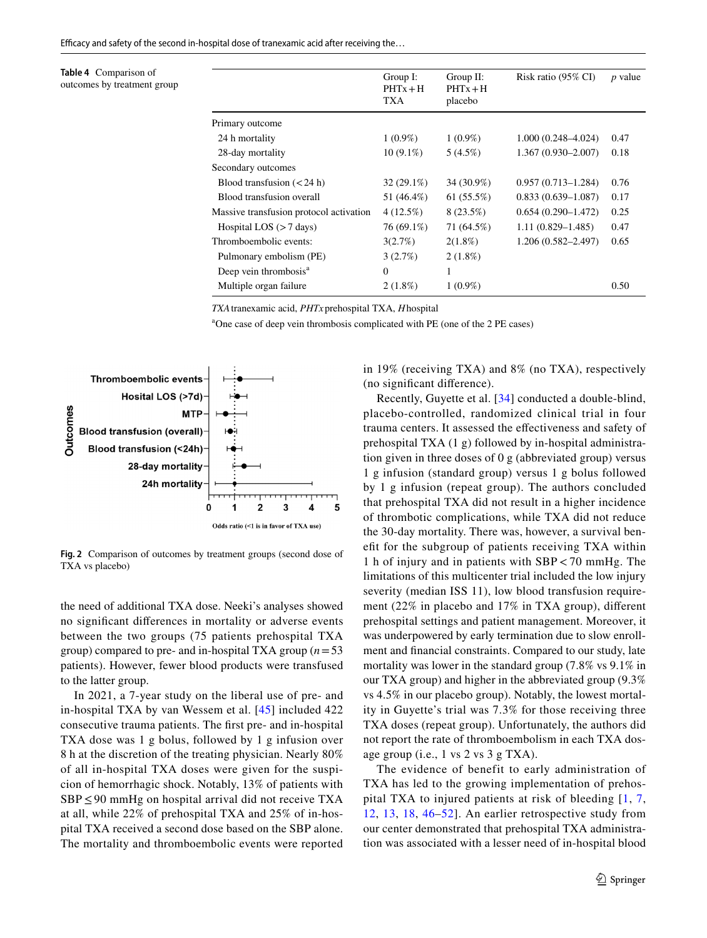Efficacy and safety of the second in-hospital dose of tranexamic acid after receiving the...

<span id="page-6-0"></span>**Table 4** Comparison of outcomes by treatment group

|                                         | Group I:<br>$PHTx + H$<br>TXA | Group II:<br>$PHTx + H$<br>placebo | Risk ratio (95% CI)    | <i>p</i> value |
|-----------------------------------------|-------------------------------|------------------------------------|------------------------|----------------|
| Primary outcome                         |                               |                                    |                        |                |
| 24 h mortality                          | $1(0.9\%)$                    | $1(0.9\%)$                         | $1.000(0.248 - 4.024)$ | 0.47           |
| 28-day mortality                        | $10(9.1\%)$                   | $5(4.5\%)$                         | $1.367(0.930 - 2.007)$ | 0.18           |
| Secondary outcomes                      |                               |                                    |                        |                |
| Blood transfusion $(< 24 h)$            | $32(29.1\%)$                  | 34 (30.9%)                         | $0.957(0.713 - 1.284)$ | 0.76           |
| Blood transfusion overall               | 51 (46.4%)                    | 61(55.5%)                          | $0.833(0.639 - 1.087)$ | 0.17           |
| Massive transfusion protocol activation | $4(12.5\%)$                   | $8(23.5\%)$                        | $0.654(0.290-1.472)$   | 0.25           |
| Hospital LOS $(>7 \text{ days})$        | 76 (69.1%)                    | 71 (64.5%)                         | $1.11(0.829 - 1.485)$  | 0.47           |
| Thromboembolic events:                  | 3(2.7%)                       | $2(1.8\%)$                         | $1.206(0.582 - 2.497)$ | 0.65           |
| Pulmonary embolism (PE)                 | 3(2.7%)                       | $2(1.8\%)$                         |                        |                |
| Deep vein thrombosis <sup>a</sup>       | $\Omega$                      | 1                                  |                        |                |
| Multiple organ failure                  | $2(1.8\%)$                    | $1(0.9\%)$                         |                        | 0.50           |
|                                         |                               |                                    |                        |                |

*TXA*tranexamic acid, *PHTx* prehospital TXA, *H*hospital

a One case of deep vein thrombosis complicated with PE (one of the 2 PE cases)



<span id="page-6-1"></span>**Fig. 2** Comparison of outcomes by treatment groups (second dose of TXA vs placebo)

the need of additional TXA dose. Neeki's analyses showed no signifcant diferences in mortality or adverse events between the two groups (75 patients prehospital TXA group) compared to pre- and in-hospital TXA group (*n*=53 patients). However, fewer blood products were transfused to the latter group.

In 2021, a 7-year study on the liberal use of pre- and in-hospital TXA by van Wessem et al. [[45](#page-10-1)] included 422 consecutive trauma patients. The frst pre- and in-hospital TXA dose was 1 g bolus, followed by 1 g infusion over 8 h at the discretion of the treating physician. Nearly 80% of all in-hospital TXA doses were given for the suspicion of hemorrhagic shock. Notably, 13% of patients with SBP≤90 mmHg on hospital arrival did not receive TXA at all, while 22% of prehospital TXA and 25% of in-hospital TXA received a second dose based on the SBP alone. The mortality and thromboembolic events were reported in 19% (receiving TXA) and 8% (no TXA), respectively (no signifcant diference).

Recently, Guyette et al. [[34](#page-9-29)] conducted a double-blind, placebo-controlled, randomized clinical trial in four trauma centers. It assessed the efectiveness and safety of prehospital TXA (1 g) followed by in-hospital administration given in three doses of 0 g (abbreviated group) versus 1 g infusion (standard group) versus 1 g bolus followed by 1 g infusion (repeat group). The authors concluded that prehospital TXA did not result in a higher incidence of thrombotic complications, while TXA did not reduce the 30-day mortality. There was, however, a survival beneft for the subgroup of patients receiving TXA within 1 h of injury and in patients with SBP< 70 mmHg. The limitations of this multicenter trial included the low injury severity (median ISS 11), low blood transfusion requirement (22% in placebo and 17% in TXA group), diferent prehospital settings and patient management. Moreover, it was underpowered by early termination due to slow enrollment and fnancial constraints. Compared to our study, late mortality was lower in the standard group (7.8% vs 9.1% in our TXA group) and higher in the abbreviated group (9.3% vs 4.5% in our placebo group). Notably, the lowest mortality in Guyette's trial was 7.3% for those receiving three TXA doses (repeat group). Unfortunately, the authors did not report the rate of thromboembolism in each TXA dosage group (i.e., 1 vs 2 vs 3 g TXA).

The evidence of benefit to early administration of TXA has led to the growing implementation of prehospital TXA to injured patients at risk of bleeding [[1](#page-8-0), [7,](#page-8-4) [12,](#page-9-3) [13](#page-9-30), [18](#page-9-17), [46–](#page-10-2)[52\]](#page-10-3). An earlier retrospective study from our center demonstrated that prehospital TXA administration was associated with a lesser need of in-hospital blood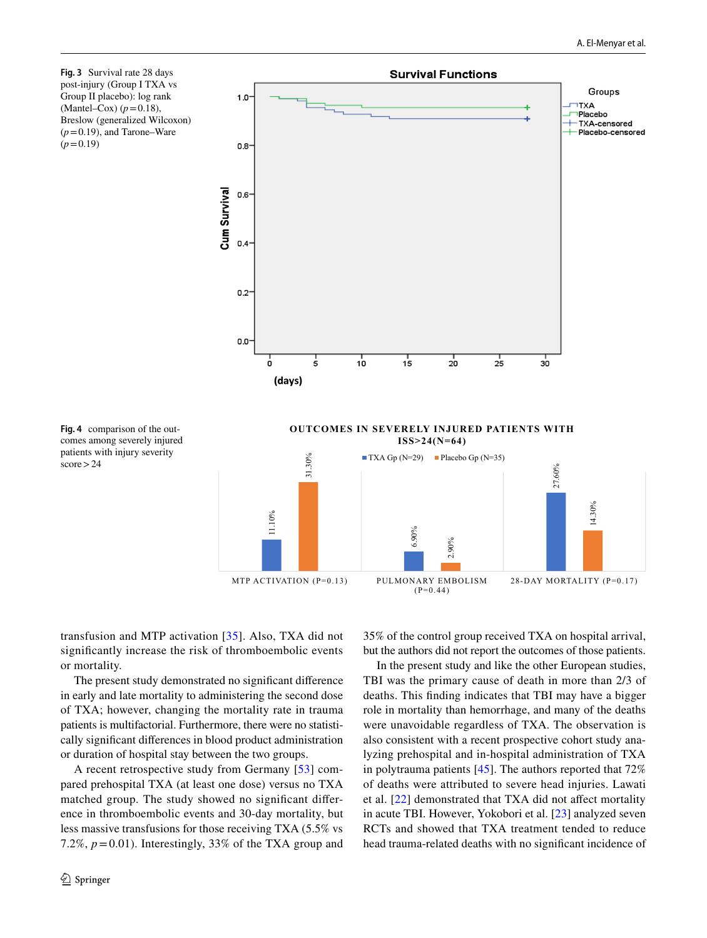<span id="page-7-0"></span>**Fig. 3** Survival rate 28 days post-injury (Group I TXA vs Group II placebo): log rank (Mantel–Cox)  $(p=0.18)$ , Breslow (generalized Wilcoxon)  $(p=0.19)$ , and Tarone–Ware  $(p=0.19)$ 



<span id="page-7-1"></span>**Fig. 4** comparison of the outcomes among severely injured patients with injury severity

 $score > 24$ 

transfusion and MTP activation [[35\]](#page-9-15). Also, TXA did not signifcantly increase the risk of thromboembolic events or mortality.

The present study demonstrated no signifcant diference in early and late mortality to administering the second dose of TXA; however, changing the mortality rate in trauma patients is multifactorial. Furthermore, there were no statistically signifcant diferences in blood product administration or duration of hospital stay between the two groups.

A recent retrospective study from Germany [\[53\]](#page-10-4) compared prehospital TXA (at least one dose) versus no TXA matched group. The study showed no signifcant diference in thromboembolic events and 30-day mortality, but less massive transfusions for those receiving TXA (5.5% vs 7.2%,  $p = 0.01$ ). Interestingly, 33% of the TXA group and 35% of the control group received TXA on hospital arrival, but the authors did not report the outcomes of those patients.

In the present study and like the other European studies, TBI was the primary cause of death in more than 2/3 of deaths. This fnding indicates that TBI may have a bigger role in mortality than hemorrhage, and many of the deaths were unavoidable regardless of TXA. The observation is also consistent with a recent prospective cohort study analyzing prehospital and in-hospital administration of TXA in polytrauma patients [[45\]](#page-10-1). The authors reported that 72% of deaths were attributed to severe head injuries. Lawati et al. [[22\]](#page-9-31) demonstrated that TXA did not afect mortality in acute TBI. However, Yokobori et al. [[23\]](#page-9-6) analyzed seven RCTs and showed that TXA treatment tended to reduce head trauma-related deaths with no signifcant incidence of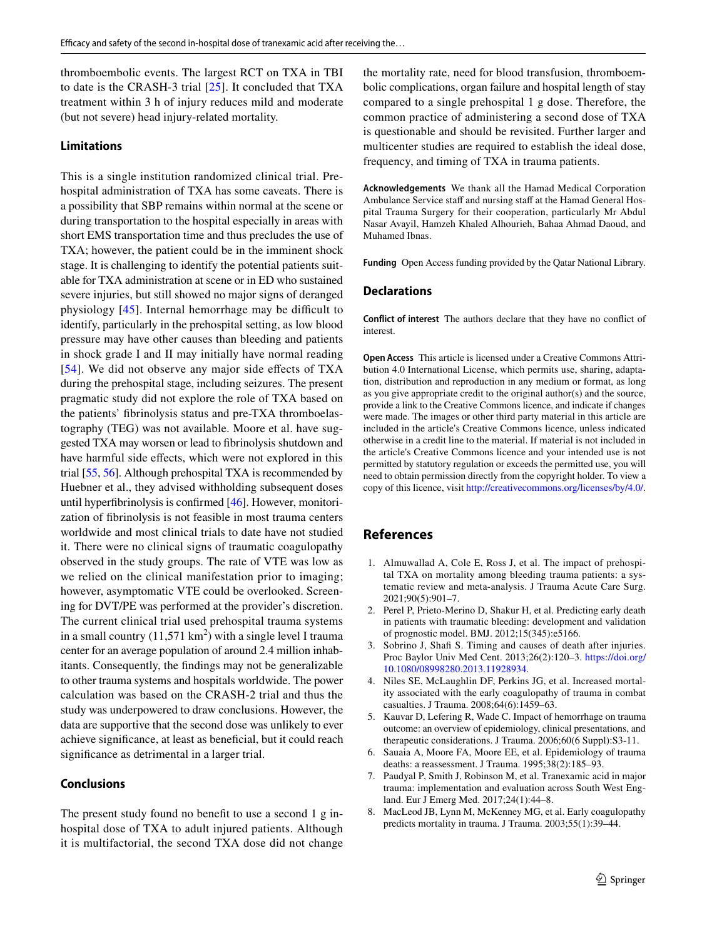thromboembolic events. The largest RCT on TXA in TBI to date is the CRASH-3 trial [\[25](#page-9-32)]. It concluded that TXA treatment within 3 h of injury reduces mild and moderate (but not severe) head injury-related mortality.

#### **Limitations**

This is a single institution randomized clinical trial. Prehospital administration of TXA has some caveats. There is a possibility that SBP remains within normal at the scene or during transportation to the hospital especially in areas with short EMS transportation time and thus precludes the use of TXA; however, the patient could be in the imminent shock stage. It is challenging to identify the potential patients suitable for TXA administration at scene or in ED who sustained severe injuries, but still showed no major signs of deranged physiology  $[45]$  $[45]$ . Internal hemorrhage may be difficult to identify, particularly in the prehospital setting, as low blood pressure may have other causes than bleeding and patients in shock grade I and II may initially have normal reading [[54\]](#page-10-5). We did not observe any major side effects of TXA during the prehospital stage, including seizures. The present pragmatic study did not explore the role of TXA based on the patients' fbrinolysis status and pre-TXA thromboelastography (TEG) was not available. Moore et al. have suggested TXA may worsen or lead to fbrinolysis shutdown and have harmful side effects, which were not explored in this trial [\[55](#page-10-6), [56\]](#page-10-7). Although prehospital TXA is recommended by Huebner et al., they advised withholding subsequent doses until hyperfbrinolysis is confrmed [\[46](#page-10-2)]. However, monitorization of fbrinolysis is not feasible in most trauma centers worldwide and most clinical trials to date have not studied it. There were no clinical signs of traumatic coagulopathy observed in the study groups. The rate of VTE was low as we relied on the clinical manifestation prior to imaging; however, asymptomatic VTE could be overlooked. Screening for DVT/PE was performed at the provider's discretion. The current clinical trial used prehospital trauma systems in a small country  $(11,571 \text{ km}^2)$  with a single level I trauma center for an average population of around 2.4 million inhabitants. Consequently, the fndings may not be generalizable to other trauma systems and hospitals worldwide. The power calculation was based on the CRASH-2 trial and thus the study was underpowered to draw conclusions. However, the data are supportive that the second dose was unlikely to ever achieve signifcance, at least as benefcial, but it could reach signifcance as detrimental in a larger trial.

# **Conclusions**

The present study found no beneft to use a second 1 g inhospital dose of TXA to adult injured patients. Although it is multifactorial, the second TXA dose did not change the mortality rate, need for blood transfusion, thromboembolic complications, organ failure and hospital length of stay compared to a single prehospital 1 g dose. Therefore, the common practice of administering a second dose of TXA is questionable and should be revisited. Further larger and multicenter studies are required to establish the ideal dose, frequency, and timing of TXA in trauma patients.

**Acknowledgements** We thank all the Hamad Medical Corporation Ambulance Service staff and nursing staff at the Hamad General Hospital Trauma Surgery for their cooperation, particularly Mr Abdul Nasar Avayil, Hamzeh Khaled Alhourieh, Bahaa Ahmad Daoud, and Muhamed Ibnas.

**Funding** Open Access funding provided by the Qatar National Library.

#### **Declarations**

**Conflict of interest** The authors declare that they have no confict of interest.

**Open Access** This article is licensed under a Creative Commons Attribution 4.0 International License, which permits use, sharing, adaptation, distribution and reproduction in any medium or format, as long as you give appropriate credit to the original author(s) and the source, provide a link to the Creative Commons licence, and indicate if changes were made. The images or other third party material in this article are included in the article's Creative Commons licence, unless indicated otherwise in a credit line to the material. If material is not included in the article's Creative Commons licence and your intended use is not permitted by statutory regulation or exceeds the permitted use, you will need to obtain permission directly from the copyright holder. To view a copy of this licence, visit<http://creativecommons.org/licenses/by/4.0/>.

# **References**

- <span id="page-8-0"></span>1. Almuwallad A, Cole E, Ross J, et al. The impact of prehospital TXA on mortality among bleeding trauma patients: a systematic review and meta-analysis. J Trauma Acute Care Surg. 2021;90(5):901–7.
- 2. Perel P, Prieto-Merino D, Shakur H, et al. Predicting early death in patients with traumatic bleeding: development and validation of prognostic model. BMJ. 2012;15(345):e5166.
- 3. Sobrino J, Shaf S. Timing and causes of death after injuries. Proc Baylor Univ Med Cent. 2013;26(2):120–3. [https://doi.org/](https://doi.org/10.1080/08998280.2013.11928934) [10.1080/08998280.2013.11928934.](https://doi.org/10.1080/08998280.2013.11928934)
- <span id="page-8-1"></span>4. Niles SE, McLaughlin DF, Perkins JG, et al. Increased mortality associated with the early coagulopathy of trauma in combat casualties. J Trauma. 2008;64(6):1459–63.
- <span id="page-8-3"></span>5. Kauvar D, Lefering R, Wade C. Impact of hemorrhage on trauma outcome: an overview of epidemiology, clinical presentations, and therapeutic considerations. J Trauma. 2006;60(6 Suppl):S3-11.
- 6. Sauaia A, Moore FA, Moore EE, et al. Epidemiology of trauma deaths: a reassessment. J Trauma. 1995;38(2):185–93.
- <span id="page-8-4"></span>7. Paudyal P, Smith J, Robinson M, et al. Tranexamic acid in major trauma: implementation and evaluation across South West England. Eur J Emerg Med. 2017;24(1):44–8.
- <span id="page-8-2"></span>8. MacLeod JB, Lynn M, McKenney MG, et al. Early coagulopathy predicts mortality in trauma. J Trauma. 2003;55(1):39–44.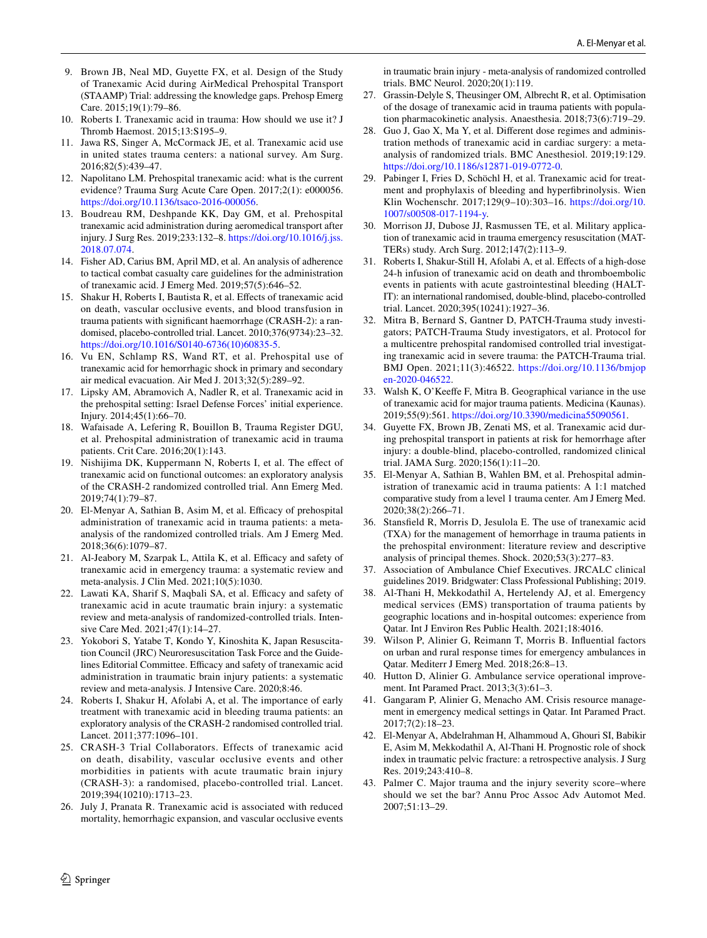- <span id="page-9-0"></span>9. Brown JB, Neal MD, Guyette FX, et al. Design of the Study of Tranexamic Acid during AirMedical Prehospital Transport (STAAMP) Trial: addressing the knowledge gaps. Prehosp Emerg Care. 2015;19(1):79–86.
- <span id="page-9-1"></span>10. Roberts I. Tranexamic acid in trauma: How should we use it? J Thromb Haemost. 2015;13:S195–9.
- <span id="page-9-2"></span>11. Jawa RS, Singer A, McCormack JE, et al. Tranexamic acid use in united states trauma centers: a national survey. Am Surg. 2016;82(5):439–47.
- <span id="page-9-3"></span>12. Napolitano LM. Prehospital tranexamic acid: what is the current evidence? Trauma Surg Acute Care Open. 2017;2(1): e000056. [https://doi.org/10.1136/tsaco-2016-000056.](https://doi.org/10.1136/tsaco-2016-000056)
- <span id="page-9-30"></span>13. Boudreau RM, Deshpande KK, Day GM, et al. Prehospital tranexamic acid administration during aeromedical transport after injury. J Surg Res. 2019;233:132–8. [https://doi.org/10.1016/j.jss.](https://doi.org/10.1016/j.jss.2018.07.074) [2018.07.074.](https://doi.org/10.1016/j.jss.2018.07.074)
- 14. Fisher AD, Carius BM, April MD, et al. An analysis of adherence to tactical combat casualty care guidelines for the administration of tranexamic acid. J Emerg Med. 2019;57(5):646–52.
- <span id="page-9-21"></span>15. Shakur H, Roberts I, Bautista R, et al. Efects of tranexamic acid on death, vascular occlusive events, and blood transfusion in trauma patients with signifcant haemorrhage (CRASH-2): a randomised, placebo-controlled trial. Lancet. 2010;376(9734):23–32. [https://doi.org/10.1016/S0140-6736\(10\)60835-5](https://doi.org/10.1016/S0140-6736(10)60835-5).
- <span id="page-9-16"></span>16. Vu EN, Schlamp RS, Wand RT, et al. Prehospital use of tranexamic acid for hemorrhagic shock in primary and secondary air medical evacuation. Air Med J. 2013;32(5):289–92.
- 17. Lipsky AM, Abramovich A, Nadler R, et al. Tranexamic acid in the prehospital setting: Israel Defense Forces' initial experience. Injury. 2014;45(1):66–70.
- <span id="page-9-17"></span>18. Wafaisade A, Lefering R, Bouillon B, Trauma Register DGU, et al. Prehospital administration of tranexamic acid in trauma patients. Crit Care. 2016;20(1):143.
- <span id="page-9-4"></span>19. Nishijima DK, Kuppermann N, Roberts I, et al. The effect of tranexamic acid on functional outcomes: an exploratory analysis of the CRASH-2 randomized controlled trial. Ann Emerg Med. 2019;74(1):79–87.
- <span id="page-9-5"></span>20. El-Menyar A, Sathian B, Asim M, et al. Efficacy of prehospital administration of tranexamic acid in trauma patients: a metaanalysis of the randomized controlled trials. Am J Emerg Med. 2018;36(6):1079–87.
- <span id="page-9-7"></span>21. Al-Jeabory M, Szarpak L, Attila K, et al. Efficacy and safety of tranexamic acid in emergency trauma: a systematic review and meta-analysis. J Clin Med. 2021;10(5):1030.
- <span id="page-9-31"></span>22. Lawati KA, Sharif S, Maqbali SA, et al. Efficacy and safety of tranexamic acid in acute traumatic brain injury: a systematic review and meta-analysis of randomized-controlled trials. Intensive Care Med. 2021;47(1):14–27.
- <span id="page-9-6"></span>23. Yokobori S, Yatabe T, Kondo Y, Kinoshita K, Japan Resuscitation Council (JRC) Neuroresuscitation Task Force and the Guidelines Editorial Committee. Efficacy and safety of tranexamic acid administration in traumatic brain injury patients: a systematic review and meta-analysis. J Intensive Care. 2020;8:46.
- <span id="page-9-28"></span>24. Roberts I, Shakur H, Afolabi A, et al. The importance of early treatment with tranexamic acid in bleeding trauma patients: an exploratory analysis of the CRASH-2 randomised controlled trial. Lancet. 2011;377:1096–101.
- <span id="page-9-32"></span>25. CRASH-3 Trial Collaborators. Effects of tranexamic acid on death, disability, vascular occlusive events and other morbidities in patients with acute traumatic brain injury (CRASH-3): a randomised, placebo-controlled trial. Lancet. 2019;394(10210):1713–23.
- <span id="page-9-8"></span>26. July J, Pranata R. Tranexamic acid is associated with reduced mortality, hemorrhagic expansion, and vascular occlusive events

in traumatic brain injury - meta-analysis of randomized controlled trials. BMC Neurol. 2020;20(1):119.

- <span id="page-9-9"></span>27. Grassin-Delyle S, Theusinger OM, Albrecht R, et al. Optimisation of the dosage of tranexamic acid in trauma patients with population pharmacokinetic analysis. Anaesthesia. 2018;73(6):719–29.
- <span id="page-9-10"></span>28. Guo J, Gao X, Ma Y, et al. Diferent dose regimes and administration methods of tranexamic acid in cardiac surgery: a metaanalysis of randomized trials. BMC Anesthesiol. 2019;19:129. <https://doi.org/10.1186/s12871-019-0772-0>.
- <span id="page-9-11"></span>29. Pabinger I, Fries D, Schöchl H, et al. Tranexamic acid for treatment and prophylaxis of bleeding and hyperfbrinolysis. Wien Klin Wochenschr. 2017;129(9–10):303–16. [https://doi.org/10.](https://doi.org/10.1007/s00508-017-1194-y) [1007/s00508-017-1194-y.](https://doi.org/10.1007/s00508-017-1194-y)
- <span id="page-9-12"></span>30. Morrison JJ, Dubose JJ, Rasmussen TE, et al. Military application of tranexamic acid in trauma emergency resuscitation (MAT-TERs) study. Arch Surg. 2012;147(2):113–9.
- <span id="page-9-13"></span>31. Roberts I, Shakur-Still H, Afolabi A, et al. Efects of a high-dose 24-h infusion of tranexamic acid on death and thromboembolic events in patients with acute gastrointestinal bleeding (HALT-IT): an international randomised, double-blind, placebo-controlled trial. Lancet. 2020;395(10241):1927–36.
- <span id="page-9-14"></span>32. Mitra B, Bernard S, Gantner D, PATCH-Trauma study investigators; PATCH-Trauma Study investigators, et al. Protocol for a multicentre prehospital randomised controlled trial investigating tranexamic acid in severe trauma: the PATCH-Trauma trial. BMJ Open. 2021;11(3):46522. [https://doi.org/10.1136/bmjop](https://doi.org/10.1136/bmjopen-2020-046522) [en-2020-046522.](https://doi.org/10.1136/bmjopen-2020-046522)
- <span id="page-9-20"></span>33. Walsh K, O'Keefe F, Mitra B. Geographical variance in the use of tranexamic acid for major trauma patients. Medicina (Kaunas). 2019;55(9):561. [https://doi.org/10.3390/medicina55090561.](https://doi.org/10.3390/medicina55090561)
- <span id="page-9-29"></span>34. Guyette FX, Brown JB, Zenati MS, et al. Tranexamic acid during prehospital transport in patients at risk for hemorrhage after injury: a double-blind, placebo-controlled, randomized clinical trial. JAMA Surg. 2020;156(1):11–20.
- <span id="page-9-15"></span>35. El-Menyar A, Sathian B, Wahlen BM, et al. Prehospital administration of tranexamic acid in trauma patients: A 1:1 matched comparative study from a level 1 trauma center. Am J Emerg Med. 2020;38(2):266–71.
- <span id="page-9-18"></span>36. Stansfeld R, Morris D, Jesulola E. The use of tranexamic acid (TXA) for the management of hemorrhage in trauma patients in the prehospital environment: literature review and descriptive analysis of principal themes. Shock. 2020;53(3):277–83.
- <span id="page-9-19"></span>37. Association of Ambulance Chief Executives. JRCALC clinical guidelines 2019. Bridgwater: Class Professional Publishing; 2019.
- <span id="page-9-22"></span>38. Al-Thani H, Mekkodathil A, Hertelendy AJ, et al. Emergency medical services (EMS) transportation of trauma patients by geographic locations and in-hospital outcomes: experience from Qatar. Int J Environ Res Public Health. 2021;18:4016.
- <span id="page-9-23"></span>39. Wilson P, Alinier G, Reimann T, Morris B. Infuential factors on urban and rural response times for emergency ambulances in Qatar. Mediterr J Emerg Med. 2018;26:8–13.
- <span id="page-9-24"></span>40. Hutton D, Alinier G. Ambulance service operational improvement. Int Paramed Pract. 2013;3(3):61–3.
- <span id="page-9-25"></span>41. Gangaram P, Alinier G, Menacho AM. Crisis resource management in emergency medical settings in Qatar. Int Paramed Pract. 2017;7(2):18–23.
- <span id="page-9-26"></span>42. El-Menyar A, Abdelrahman H, Alhammoud A, Ghouri SI, Babikir E, Asim M, Mekkodathil A, Al-Thani H. Prognostic role of shock index in traumatic pelvic fracture: a retrospective analysis. J Surg Res. 2019;243:410–8.
- <span id="page-9-27"></span>43. Palmer C. Major trauma and the injury severity score–where should we set the bar? Annu Proc Assoc Adv Automot Med. 2007;51:13–29.